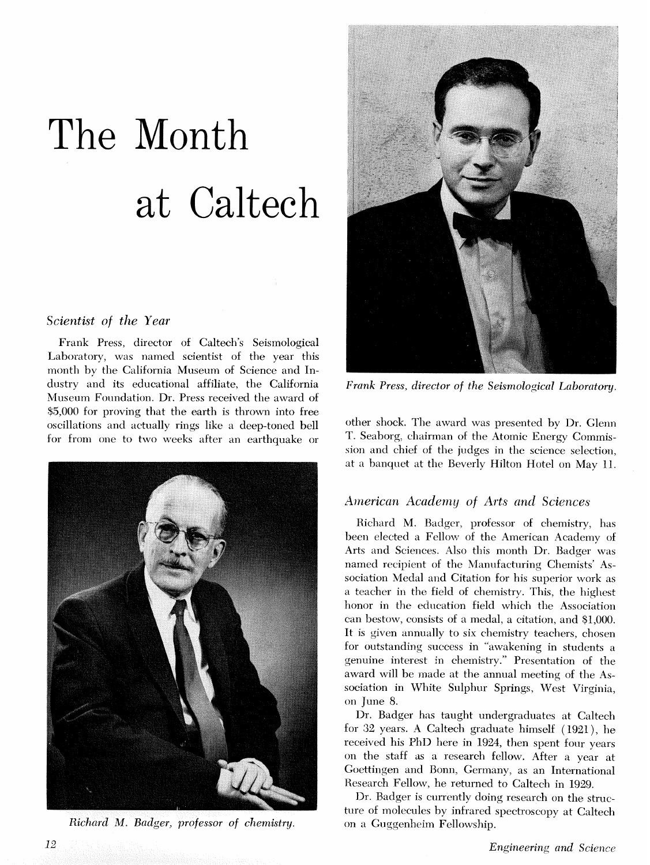# The Mont Caltech

## *Scientist* of *the Year*

Frank Press, director of Caltech's Seismological Laboratory, was named scientist of the year this month by the California Museum of Science and Industry and its educational affiliate, the California Museum Foundation. Dr. Press received the award of \$5,000 for proving that the earth is thrown into free oscillations and actually rings like a deep-toned bell for from one to two weeks after an earthquake or



Richard M. Badger, professor of chemistry.



*Frank Press, director of the Seismological Laboratory.* 

other shock. The award was presented by Dr. Glenn T. Seaborg, chairman of the Atomic Energy Commission and chief of the judges in the science selection, at a banquet at the Beverly Hilton Hotel on May 11.

## American Academy of Arts and Sciences

Richard M. Badger, professor of chemistry, has been elected a Fellow of the American Academy of Arts and Sciences. Also this month Dr. Badger was named recipient of the Manufacturing Chemists' Association Medal and Citation for his superior work as a teacher in the field of chemistry. This, the highest honor in the education field which the Association can bestow, consists of a medal, a citation, and \$1,000. It is given annually to six chemistry teachers, chosen for outstanding success in "awakening in students a genuine interest in chemistry." Presentation of the award will be made at the annual meeting of the Association in White Sulphur Springs, West Virginia, on June 8.

Dr. Badger has taught undergraduates at Caltech for 32 years. A Caltech graduate himself (1921), he received his PhD here in 1924, then spent four years on the staff as a research fellow. After a year at Goettingen and Bonn, Germany, as an International Research Fellow, he returned to Caltech in 1929.

Dr. Badger is currently doing research on the structure of molecules by infrared spectroscopy at Caltech on a Guggenheim Fellowship.